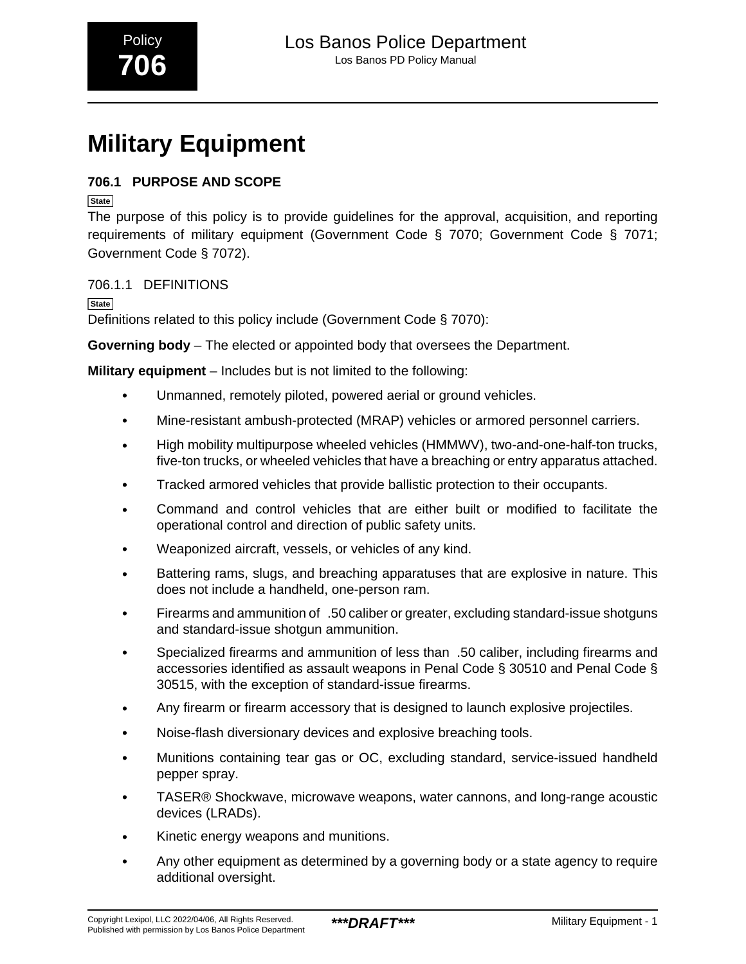# **Military Equipment**

#### **706.1 PURPOSE AND SCOPE**

**State**

The purpose of this policy is to provide guidelines for the approval, acquisition, and reporting requirements of military equipment (Government Code § 7070; Government Code § 7071; Government Code § 7072).

706.1.1 DEFINITIONS

**State**

Definitions related to this policy include (Government Code § 7070):

**Governing body** – The elected or appointed body that oversees the Department.

**Military equipment** – Includes but is not limited to the following:

- Unmanned, remotely piloted, powered aerial or ground vehicles.
- Mine-resistant ambush-protected (MRAP) vehicles or armored personnel carriers.
- High mobility multipurpose wheeled vehicles (HMMWV), two-and-one-half-ton trucks, five-ton trucks, or wheeled vehicles that have a breaching or entry apparatus attached.
- Tracked armored vehicles that provide ballistic protection to their occupants.
- Command and control vehicles that are either built or modified to facilitate the operational control and direction of public safety units.
- Weaponized aircraft, vessels, or vehicles of any kind.
- Battering rams, slugs, and breaching apparatuses that are explosive in nature. This does not include a handheld, one-person ram.
- Firearms and ammunition of\_.50 caliber or greater, excluding standard-issue shotguns and standard-issue shotgun ammunition.
- Specialized firearms and ammunition of less than\_.50 caliber, including firearms and accessories identified as assault weapons in Penal Code § 30510 and Penal Code § 30515, with the exception of standard-issue firearms.
- Any firearm or firearm accessory that is designed to launch explosive projectiles.
- Noise-flash diversionary devices and explosive breaching tools.
- Munitions containing tear gas or OC, excluding standard, service-issued handheld pepper spray.
- TASER® Shockwave, microwave weapons, water cannons, and long-range acoustic devices (LRADs).
- Kinetic energy weapons and munitions.
- Any other equipment as determined by a governing body or a state agency to require additional oversight.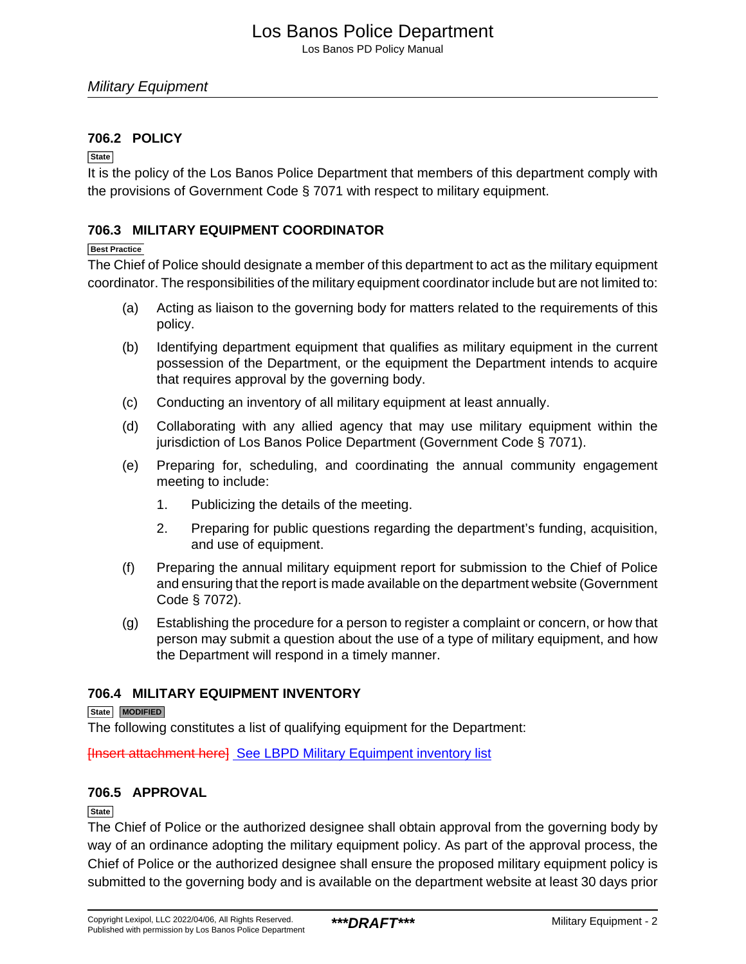Los Banos PD Policy Manual

#### **706.2 POLICY**

#### **State**

It is the policy of the Los Banos Police Department that members of this department comply with the provisions of Government Code § 7071 with respect to military equipment.

#### **706.3 MILITARY EQUIPMENT COORDINATOR**

#### **Best Practice**

The Chief of Police should designate a member of this department to act as the military equipment coordinator. The responsibilities of the military equipment coordinator include but are not limited to:

- (a) Acting as liaison to the governing body for matters related to the requirements of this policy.
- (b) Identifying department equipment that qualifies as military equipment in the current possession of the Department, or the equipment the Department intends to acquire that requires approval by the governing body.
- (c) Conducting an inventory of all military equipment at least annually.
- (d) Collaborating with any allied agency that may use military equipment within the jurisdiction of Los Banos Police Department (Government Code § 7071).
- (e) Preparing for, scheduling, and coordinating the annual community engagement meeting to include:
	- 1. Publicizing the details of the meeting.
	- 2. Preparing for public questions regarding the department's funding, acquisition, and use of equipment.
- (f) Preparing the annual military equipment report for submission to the Chief of Police and ensuring that the report is made available on the department website (Government Code § 7072).
- (g) Establishing the procedure for a person to register a complaint or concern, or how that person may submit a question about the use of a type of military equipment, and how the Department will respond in a timely manner.

#### **706.4 MILITARY EQUIPMENT INVENTORY**

#### **State MODIFIED**

The following constitutes a list of qualifying equipment for the Department:

[Insert attachment here] See LBPD Military Equimpent inventory list

#### **706.5 APPROVAL**

#### **State**

The Chief of Police or the authorized designee shall obtain approval from the governing body by way of an ordinance adopting the military equipment policy. As part of the approval process, the Chief of Police or the authorized designee shall ensure the proposed military equipment policy is submitted to the governing body and is available on the department website at least 30 days prior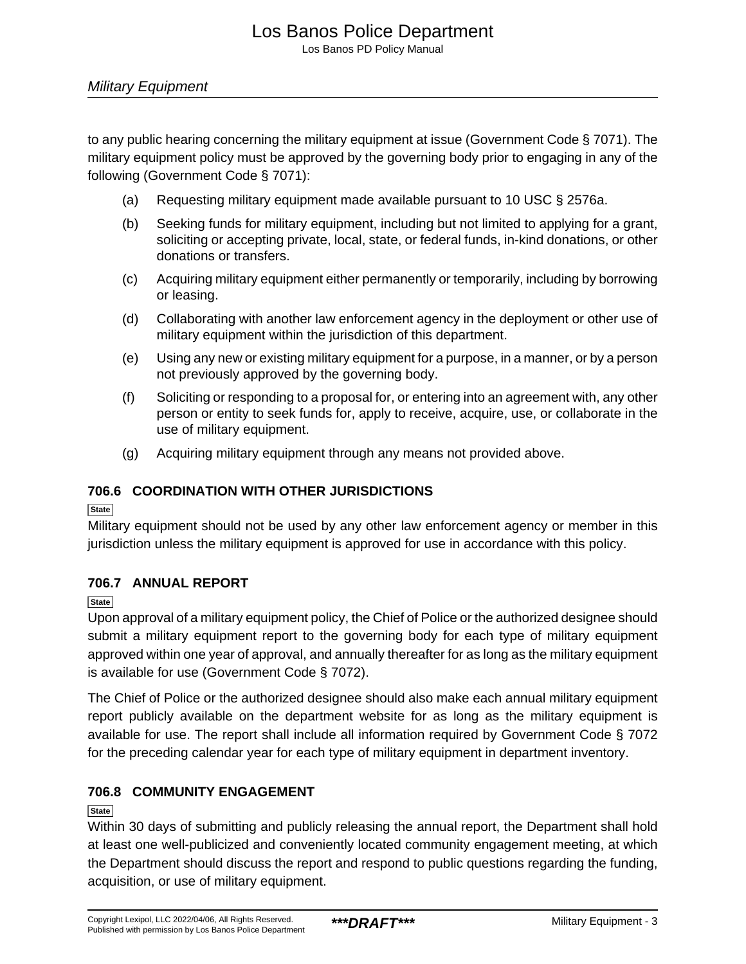### Los Banos Police Department

Los Banos PD Policy Manual

#### Military Equipment

to any public hearing concerning the military equipment at issue (Government Code § 7071). The military equipment policy must be approved by the governing body prior to engaging in any of the following (Government Code § 7071):

- (a) Requesting military equipment made available pursuant to 10 USC § 2576a.
- (b) Seeking funds for military equipment, including but not limited to applying for a grant, soliciting or accepting private, local, state, or federal funds, in-kind donations, or other donations or transfers.
- (c) Acquiring military equipment either permanently or temporarily, including by borrowing or leasing.
- (d) Collaborating with another law enforcement agency in the deployment or other use of military equipment within the jurisdiction of this department.
- (e) Using any new or existing military equipment for a purpose, in a manner, or by a person not previously approved by the governing body.
- (f) Soliciting or responding to a proposal for, or entering into an agreement with, any other person or entity to seek funds for, apply to receive, acquire, use, or collaborate in the use of military equipment.
- (g) Acquiring military equipment through any means not provided above.

#### **706.6 COORDINATION WITH OTHER JURISDICTIONS**

**State**

Military equipment should not be used by any other law enforcement agency or member in this jurisdiction unless the military equipment is approved for use in accordance with this policy.

#### **706.7 ANNUAL REPORT**

**State**

Upon approval of a military equipment policy, the Chief of Police or the authorized designee should submit a military equipment report to the governing body for each type of military equipment approved within one year of approval, and annually thereafter for as long as the military equipment is available for use (Government Code § 7072).

The Chief of Police or the authorized designee should also make each annual military equipment report publicly available on the department website for as long as the military equipment is available for use. The report shall include all information required by Government Code § 7072 for the preceding calendar year for each type of military equipment in department inventory.

#### **706.8 COMMUNITY ENGAGEMENT**

#### **State**

Within 30 days of submitting and publicly releasing the annual report, the Department shall hold at least one well-publicized and conveniently located community engagement meeting, at which the Department should discuss the report and respond to public questions regarding the funding, acquisition, or use of military equipment.